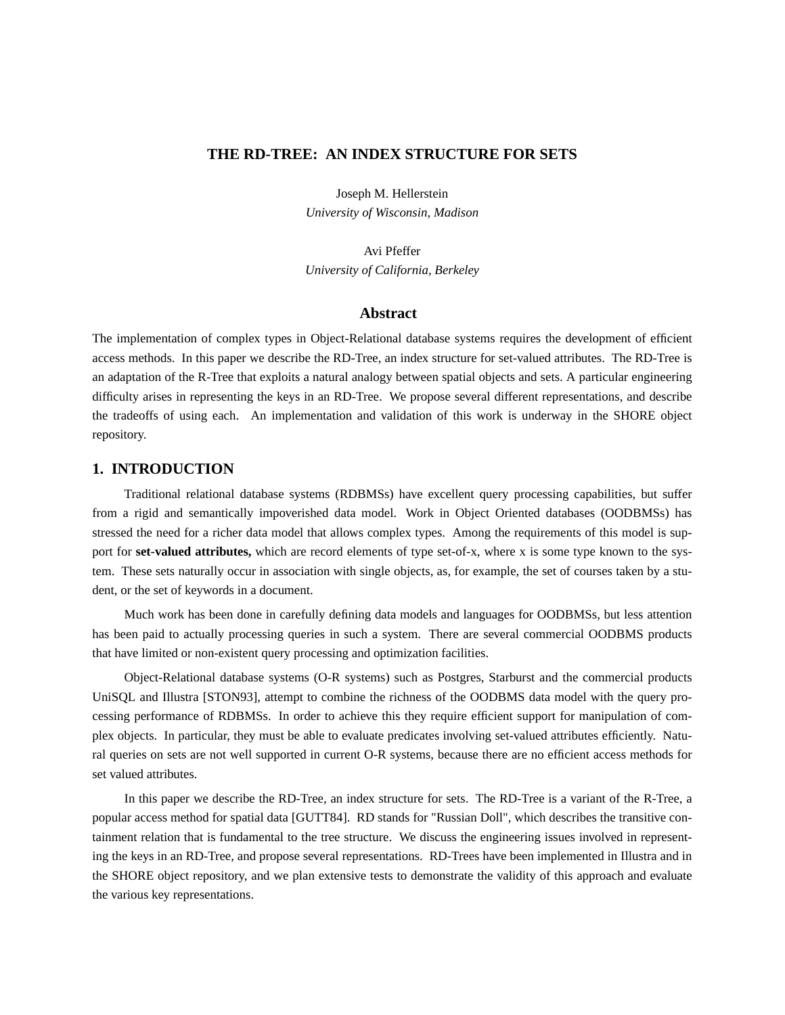# **THE RD-TREE: AN INDEX STRUCTURE FOR SETS**

Joseph M. Hellerstein *University of Wisconsin, Madison*

Avi Pfeffer *University of California, Berkeley*

### **Abstract**

The implementation of complex types in Object-Relational database systems requires the development of efficient access methods. In this paper we describe the RD-Tree, an index structure for set-valued attributes. The RD-Tree is an adaptation of the R-Tree that exploits a natural analogy between spatial objects and sets. A particular engineering difficulty arises in representing the keys in an RD-Tree. We propose several different representations, and describe the tradeoffs of using each. An implementation and validation of this work is underway in the SHORE object repository.

### **1. INTRODUCTION**

Traditional relational database systems (RDBMSs) have excellent query processing capabilities, but suffer from a rigid and semantically impoverished data model. Work in Object Oriented databases (OODBMSs) has stressed the need for a richer data model that allows complex types. Among the requirements of this model is support for **set-valued attributes,** which are record elements of type set-of-x, where x is some type known to the system. These sets naturally occur in association with single objects, as, for example, the set of courses taken by a student, or the set of keywords in a document.

Much work has been done in carefully defining data models and languages for OODBMSs, but less attention has been paid to actually processing queries in such a system. There are several commercial OODBMS products that have limited or non-existent query processing and optimization facilities.

Object-Relational database systems (O-R systems) such as Postgres, Starburst and the commercial products UniSQL and Illustra [STON93], attempt to combine the richness of the OODBMS data model with the query processing performance of RDBMSs. In order to achieve this they require efficient support for manipulation of complex objects. In particular, they must be able to evaluate predicates involving set-valued attributes efficiently. Natural queries on sets are not well supported in current O-R systems, because there are no efficient access methods for set valued attributes.

In this paper we describe the RD-Tree, an index structure for sets. The RD-Tree is a variant of the R-Tree, a popular access method for spatial data [GUTT84]. RD stands for "Russian Doll", which describes the transitive containment relation that is fundamental to the tree structure. We discuss the engineering issues involved in representing the keys in an RD-Tree, and propose several representations. RD-Trees have been implemented in Illustra and in the SHORE object repository, and we plan extensive tests to demonstrate the validity of this approach and evaluate the various key representations.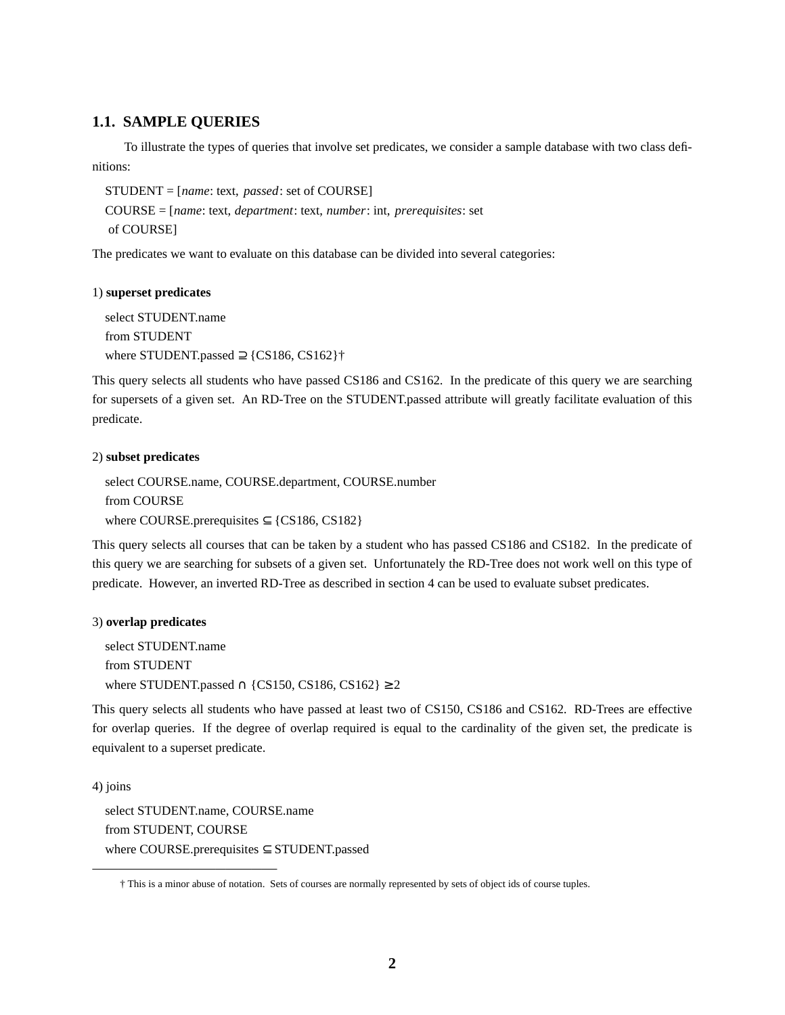# **1.1. SAMPLE QUERIES**

To illustrate the types of queries that involve set predicates, we consider a sample database with two class definitions:

```
STUDENT = [name: text, passed: set of COURSE]
COURSE = [name: text, department: text, number: int, prerequisites: set
of COURSE]
```
The predicates we want to evaluate on this database can be divided into several categories:

### 1) **superset predicates**

select STUDENT.name from STUDENT where STUDENT.passed  $\supseteq$  {CS186, CS162}†

This query selects all students who have passed CS186 and CS162. In the predicate of this query we are searching for supersets of a given set. An RD-Tree on the STUDENT.passed attribute will greatly facilitate evaluation of this predicate.

#### 2) **subset predicates**

select COURSE.name, COURSE.department, COURSE.number from COURSE where COURSE.prerequisites  $\subseteq$  {CS186, CS182}

This query selects all courses that can be taken by a student who has passed CS186 and CS182. In the predicate of this query we are searching for subsets of a given set. Unfortunately the RD-Tree does not work well on this type of predicate. However, an inverted RD-Tree as described in section 4 can be used to evaluate subset predicates.

#### 3) **overlap predicates**

select STUDENT.name from STUDENT where STUDENT.passed  $\cap$  {CS150, CS186, CS162} ≥ 2

This query selects all students who have passed at least two of CS150, CS186 and CS162. RD-Trees are effective for overlap queries. If the degree of overlap required is equal to the cardinality of the given set, the predicate is equivalent to a superset predicate.

4) joins

select STUDENT.name, COURSE.name from STUDENT, COURSE where COURSE.prerequisites ⊆ STUDENT.passed

<sup>†</sup> This is a minor abuse of notation. Sets of courses are normally represented by sets of object ids of course tuples.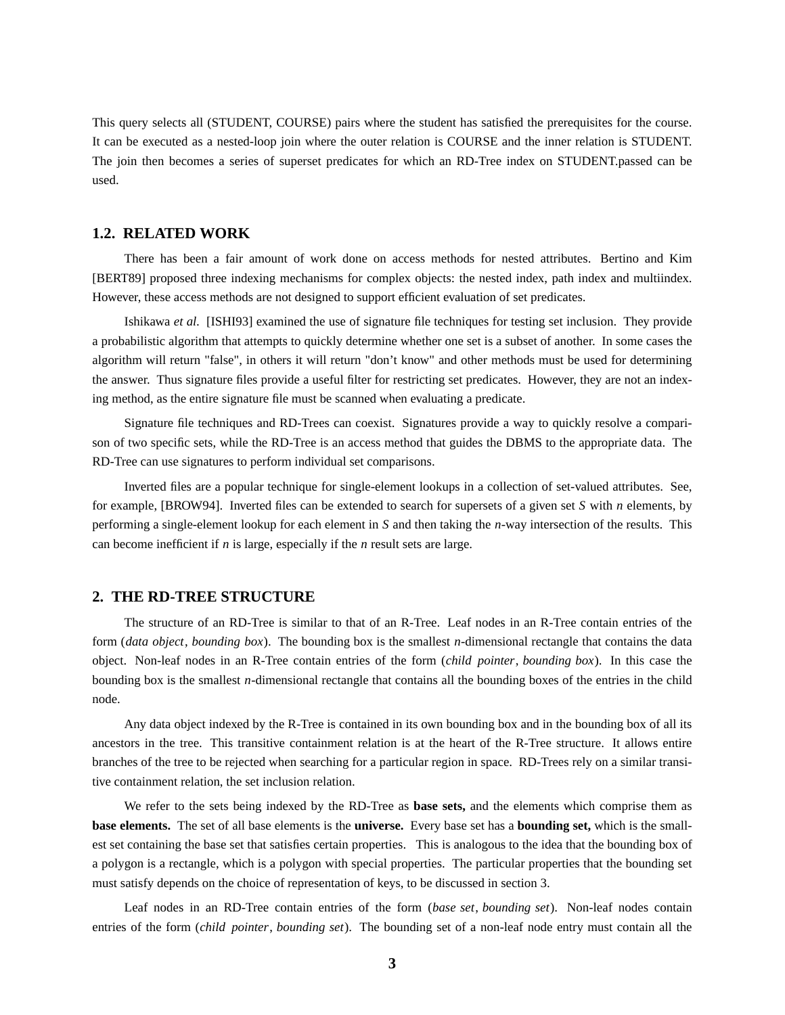This query selects all (STUDENT, COURSE) pairs where the student has satisfied the prerequisites for the course. It can be executed as a nested-loop join where the outer relation is COURSE and the inner relation is STUDENT. The join then becomes a series of superset predicates for which an RD-Tree index on STUDENT.passed can be used.

### **1.2. RELATED WORK**

There has been a fair amount of work done on access methods for nested attributes. Bertino and Kim [BERT89] proposed three indexing mechanisms for complex objects: the nested index, path index and multiindex. However, these access methods are not designed to support efficient evaluation of set predicates.

Ishikawa *et al.* [ISHI93] examined the use of signature file techniques for testing set inclusion. They provide a probabilistic algorithm that attempts to quickly determine whether one set is a subset of another. In some cases the algorithm will return "false", in others it will return "don't know" and other methods must be used for determining the answer. Thus signature files provide a useful filter for restricting set predicates. However, they are not an indexing method, as the entire signature file must be scanned when evaluating a predicate.

Signature file techniques and RD-Trees can coexist. Signatures provide a way to quickly resolve a comparison of two specific sets, while the RD-Tree is an access method that guides the DBMS to the appropriate data. The RD-Tree can use signatures to perform individual set comparisons.

Inverted files are a popular technique for single-element lookups in a collection of set-valued attributes. See, for example, [BROW94]. Inverted files can be extended to search for supersets of a given set *S* with *n* elements, by performing a single-element lookup for each element in *S* and then taking the *n*-way intersection of the results. This can become inefficient if *n* is large, especially if the *n* result sets are large.

### **2. THE RD-TREE STRUCTURE**

The structure of an RD-Tree is similar to that of an R-Tree. Leaf nodes in an R-Tree contain entries of the form (*data object*, *bounding box*). The bounding box is the smallest *n*-dimensional rectangle that contains the data object. Non-leaf nodes in an R-Tree contain entries of the form (*child pointer*, *bounding box*). In this case the bounding box is the smallest *n*-dimensional rectangle that contains all the bounding boxes of the entries in the child node.

Any data object indexed by the R-Tree is contained in its own bounding box and in the bounding box of all its ancestors in the tree. This transitive containment relation is at the heart of the R-Tree structure. It allows entire branches of the tree to be rejected when searching for a particular region in space. RD-Trees rely on a similar transitive containment relation, the set inclusion relation.

We refer to the sets being indexed by the RD-Tree as **base sets,** and the elements which comprise them as **base elements.** The set of all base elements is the **universe.** Every base set has a **bounding set,** which is the smallest set containing the base set that satisfies certain properties. This is analogous to the idea that the bounding box of a polygon is a rectangle, which is a polygon with special properties. The particular properties that the bounding set must satisfy depends on the choice of representation of keys, to be discussed in section 3.

Leaf nodes in an RD-Tree contain entries of the form (*base set*, *bounding set*). Non-leaf nodes contain entries of the form (*child pointer*, *bounding set*). The bounding set of a non-leaf node entry must contain all the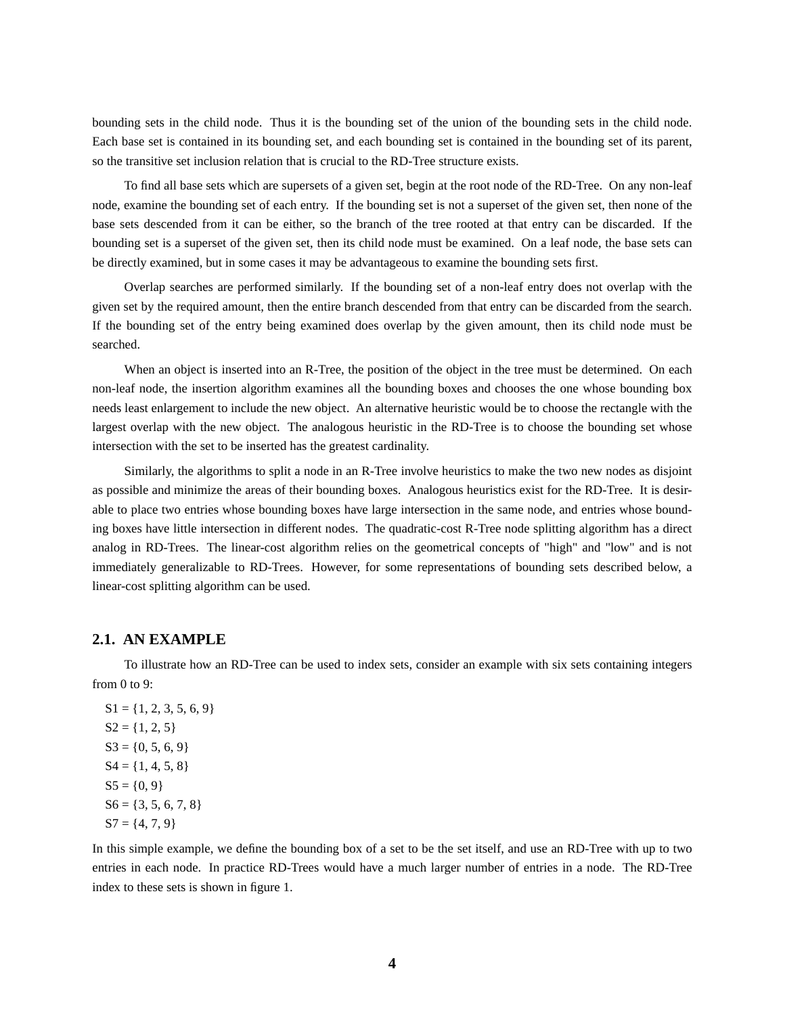bounding sets in the child node. Thus it is the bounding set of the union of the bounding sets in the child node. Each base set is contained in its bounding set, and each bounding set is contained in the bounding set of its parent, so the transitive set inclusion relation that is crucial to the RD-Tree structure exists.

To find all base sets which are supersets of a given set, begin at the root node of the RD-Tree. On any non-leaf node, examine the bounding set of each entry. If the bounding set is not a superset of the given set, then none of the base sets descended from it can be either, so the branch of the tree rooted at that entry can be discarded. If the bounding set is a superset of the given set, then its child node must be examined. On a leaf node, the base sets can be directly examined, but in some cases it may be advantageous to examine the bounding sets first.

Overlap searches are performed similarly. If the bounding set of a non-leaf entry does not overlap with the given set by the required amount, then the entire branch descended from that entry can be discarded from the search. If the bounding set of the entry being examined does overlap by the given amount, then its child node must be searched.

When an object is inserted into an R-Tree, the position of the object in the tree must be determined. On each non-leaf node, the insertion algorithm examines all the bounding boxes and chooses the one whose bounding box needs least enlargement to include the new object. An alternative heuristic would be to choose the rectangle with the largest overlap with the new object. The analogous heuristic in the RD-Tree is to choose the bounding set whose intersection with the set to be inserted has the greatest cardinality.

Similarly, the algorithms to split a node in an R-Tree involve heuristics to make the two new nodes as disjoint as possible and minimize the areas of their bounding boxes. Analogous heuristics exist for the RD-Tree. It is desirable to place two entries whose bounding boxes have large intersection in the same node, and entries whose bounding boxes have little intersection in different nodes. The quadratic-cost R-Tree node splitting algorithm has a direct analog in RD-Trees. The linear-cost algorithm relies on the geometrical concepts of "high" and "low" and is not immediately generalizable to RD-Trees. However, for some representations of bounding sets described below, a linear-cost splitting algorithm can be used.

### **2.1. AN EXAMPLE**

To illustrate how an RD-Tree can be used to index sets, consider an example with six sets containing integers from 0 to 9:

 $S1 = \{1, 2, 3, 5, 6, 9\}$  $S2 = \{1, 2, 5\}$  $S3 = \{0, 5, 6, 9\}$  $S4 = \{1, 4, 5, 8\}$  $S5 = \{0, 9\}$  $S6 = \{3, 5, 6, 7, 8\}$  $S7 = \{4, 7, 9\}$ 

In this simple example, we define the bounding box of a set to be the set itself, and use an RD-Tree with up to two entries in each node. In practice RD-Trees would have a much larger number of entries in a node. The RD-Tree index to these sets is shown in figure 1.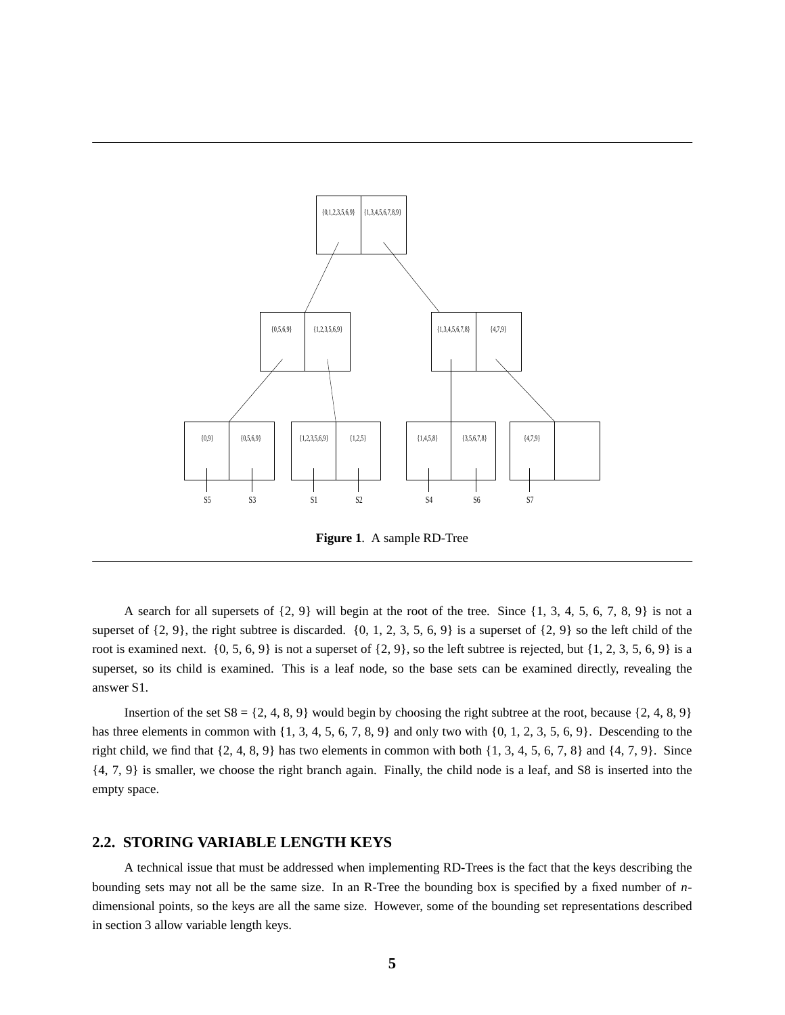

**Figure 1**. A sample RD-Tree

A search for all supersets of  $\{2, 9\}$  will begin at the root of the tree. Since  $\{1, 3, 4, 5, 6, 7, 8, 9\}$  is not a superset of  $\{2, 9\}$ , the right subtree is discarded.  $\{0, 1, 2, 3, 5, 6, 9\}$  is a superset of  $\{2, 9\}$  so the left child of the root is examined next.  $\{0, 5, 6, 9\}$  is not a superset of  $\{2, 9\}$ , so the left subtree is rejected, but  $\{1, 2, 3, 5, 6, 9\}$  is a superset, so its child is examined. This is a leaf node, so the base sets can be examined directly, revealing the answer S1.

Insertion of the set  $S_8 = \{2, 4, 8, 9\}$  would begin by choosing the right subtree at the root, because  $\{2, 4, 8, 9\}$ has three elements in common with  $\{1, 3, 4, 5, 6, 7, 8, 9\}$  and only two with  $\{0, 1, 2, 3, 5, 6, 9\}$ . Descending to the right child, we find that  $\{2, 4, 8, 9\}$  has two elements in common with both  $\{1, 3, 4, 5, 6, 7, 8\}$  and  $\{4, 7, 9\}$ . Since {4, 7, 9} is smaller, we choose the right branch again. Finally, the child node is a leaf, and S8 is inserted into the empty space.

### **2.2. STORING VARIABLE LENGTH KEYS**

A technical issue that must be addressed when implementing RD-Trees is the fact that the keys describing the bounding sets may not all be the same size. In an R-Tree the bounding box is specified by a fixed number of *n*dimensional points, so the keys are all the same size. However, some of the bounding set representations described in section 3 allow variable length keys.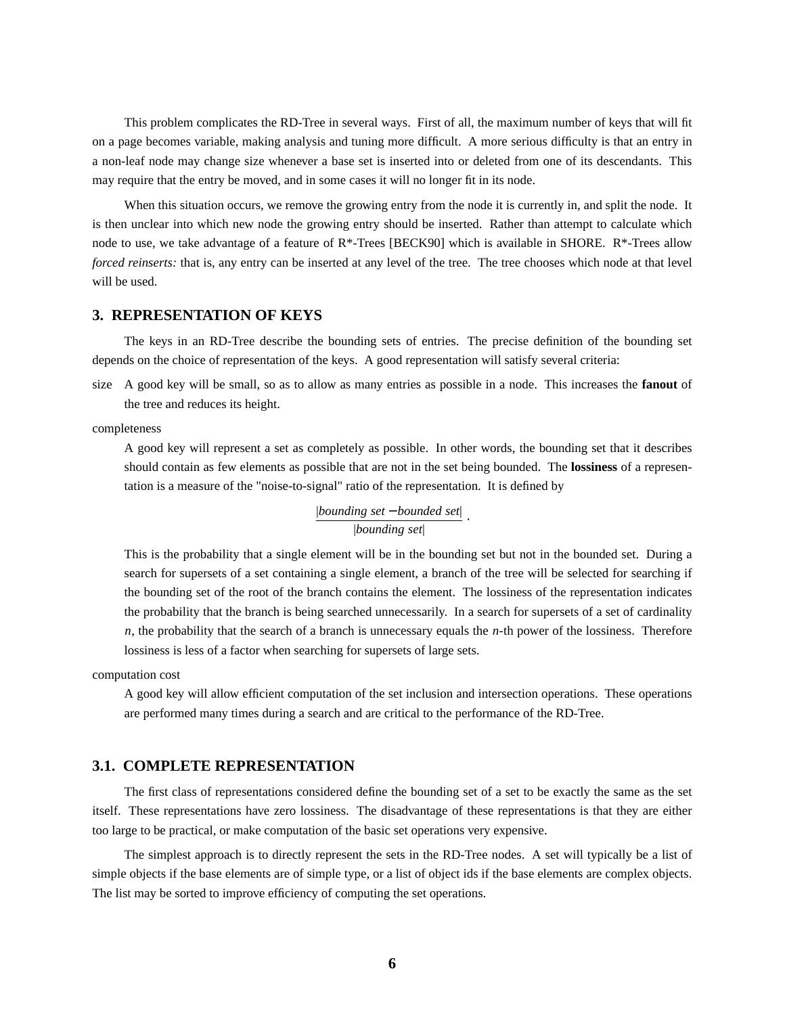This problem complicates the RD-Tree in several ways. First of all, the maximum number of keys that will fit on a page becomes variable, making analysis and tuning more difficult. A more serious difficulty is that an entry in a non-leaf node may change size whenever a base set is inserted into or deleted from one of its descendants. This may require that the entry be moved, and in some cases it will no longer fit in its node.

When this situation occurs, we remove the growing entry from the node it is currently in, and split the node. It is then unclear into which new node the growing entry should be inserted. Rather than attempt to calculate which node to use, we take advantage of a feature of R\*-Trees [BECK90] which is available in SHORE. R\*-Trees allow *forced reinserts:* that is, any entry can be inserted at any level of the tree. The tree chooses which node at that level will be used.

### **3. REPRESENTATION OF KEYS**

The keys in an RD-Tree describe the bounding sets of entries. The precise definition of the bounding set depends on the choice of representation of the keys. A good representation will satisfy several criteria:

size A good key will be small, so as to allow as many entries as possible in a node. This increases the **fanout** of the tree and reduces its height.

completeness

A good key will represent a set as completely as possible. In other words, the bounding set that it describes should contain as few elements as possible that are not in the set being bounded. The **lossiness** of a representation is a measure of the "noise-to-signal" ratio of the representation. It is defined by

$$
\frac{|bounding\ set-bounded\ set|}{|bounding\ set|}.
$$

This is the probability that a single element will be in the bounding set but not in the bounded set. During a search for supersets of a set containing a single element, a branch of the tree will be selected for searching if the bounding set of the root of the branch contains the element. The lossiness of the representation indicates the probability that the branch is being searched unnecessarily. In a search for supersets of a set of cardinality *n*, the probability that the search of a branch is unnecessary equals the *n*-th power of the lossiness. Therefore lossiness is less of a factor when searching for supersets of large sets.

computation cost

A good key will allow efficient computation of the set inclusion and intersection operations. These operations are performed many times during a search and are critical to the performance of the RD-Tree.

### **3.1. COMPLETE REPRESENTATION**

The first class of representations considered define the bounding set of a set to be exactly the same as the set itself. These representations have zero lossiness. The disadvantage of these representations is that they are either too large to be practical, or make computation of the basic set operations very expensive.

The simplest approach is to directly represent the sets in the RD-Tree nodes. A set will typically be a list of simple objects if the base elements are of simple type, or a list of object ids if the base elements are complex objects. The list may be sorted to improve efficiency of computing the set operations.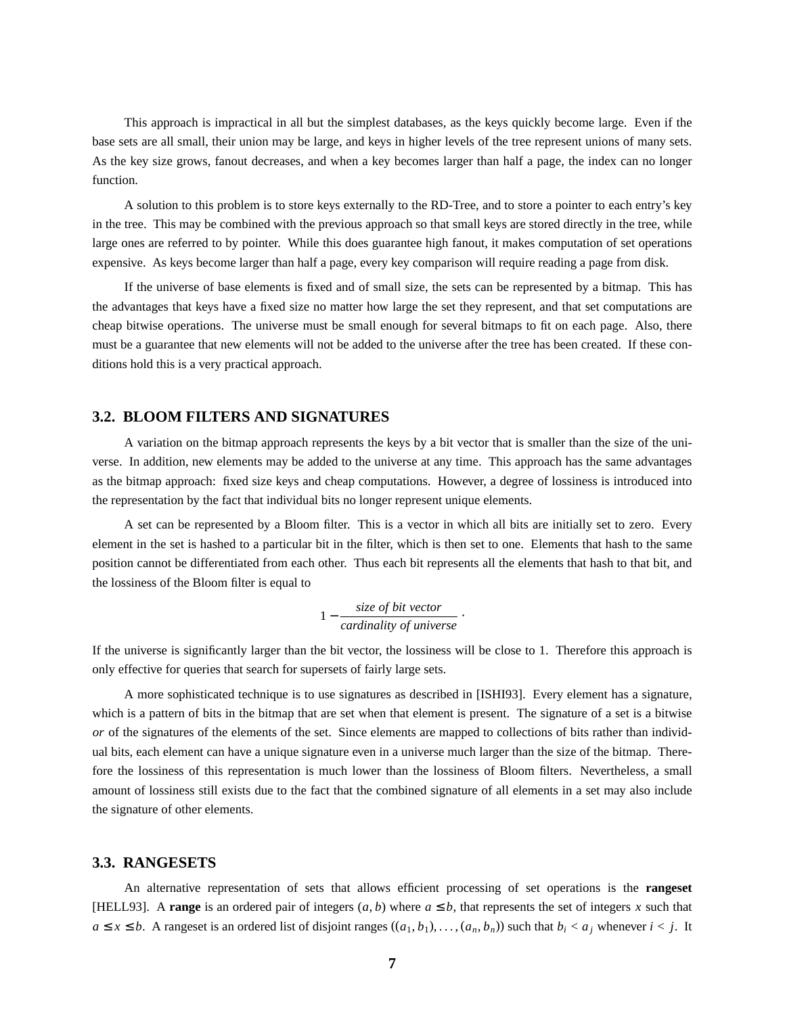This approach is impractical in all but the simplest databases, as the keys quickly become large. Even if the base sets are all small, their union may be large, and keys in higher levels of the tree represent unions of many sets. As the key size grows, fanout decreases, and when a key becomes larger than half a page, the index can no longer function.

A solution to this problem is to store keys externally to the RD-Tree, and to store a pointer to each entry's key in the tree. This may be combined with the previous approach so that small keys are stored directly in the tree, while large ones are referred to by pointer. While this does guarantee high fanout, it makes computation of set operations expensive. As keys become larger than half a page, every key comparison will require reading a page from disk.

If the universe of base elements is fixed and of small size, the sets can be represented by a bitmap. This has the advantages that keys have a fixed size no matter how large the set they represent, and that set computations are cheap bitwise operations. The universe must be small enough for several bitmaps to fit on each page. Also, there must be a guarantee that new elements will not be added to the universe after the tree has been created. If these conditions hold this is a very practical approach.

# **3.2. BLOOM FILTERS AND SIGNATURES**

A variation on the bitmap approach represents the keys by a bit vector that is smaller than the size of the universe. In addition, new elements may be added to the universe at any time. This approach has the same advantages as the bitmap approach: fixed size keys and cheap computations. However, a degree of lossiness is introduced into the representation by the fact that individual bits no longer represent unique elements.

A set can be represented by a Bloom filter. This is a vector in which all bits are initially set to zero. Every element in the set is hashed to a particular bit in the filter, which is then set to one. Elements that hash to the same position cannot be differentiated from each other. Thus each bit represents all the elements that hash to that bit, and the lossiness of the Bloom filter is equal to

$$
1 - \frac{size\ of\ bit\ vector}{cardinality\ of\ universe}.
$$

If the universe is significantly larger than the bit vector, the lossiness will be close to 1. Therefore this approach is only effective for queries that search for supersets of fairly large sets.

A more sophisticated technique is to use signatures as described in [ISHI93]. Every element has a signature, which is a pattern of bits in the bitmap that are set when that element is present. The signature of a set is a bitwise *or* of the signatures of the elements of the set. Since elements are mapped to collections of bits rather than individual bits, each element can have a unique signature even in a universe much larger than the size of the bitmap. Therefore the lossiness of this representation is much lower than the lossiness of Bloom filters. Nevertheless, a small amount of lossiness still exists due to the fact that the combined signature of all elements in a set may also include the signature of other elements.

### **3.3. RANGESETS**

An alternative representation of sets that allows efficient processing of set operations is the **rangeset** [HELL93]. A **range** is an ordered pair of integers  $(a, b)$  where  $a \leq b$ , that represents the set of integers *x* such that *a* ≤ *x* ≤ *b*. A rangeset is an ordered list of disjoint ranges  $((a_1, b_1), \ldots, (a_n, b_n))$  such that  $b_i < a_j$  whenever *i* < *j*. It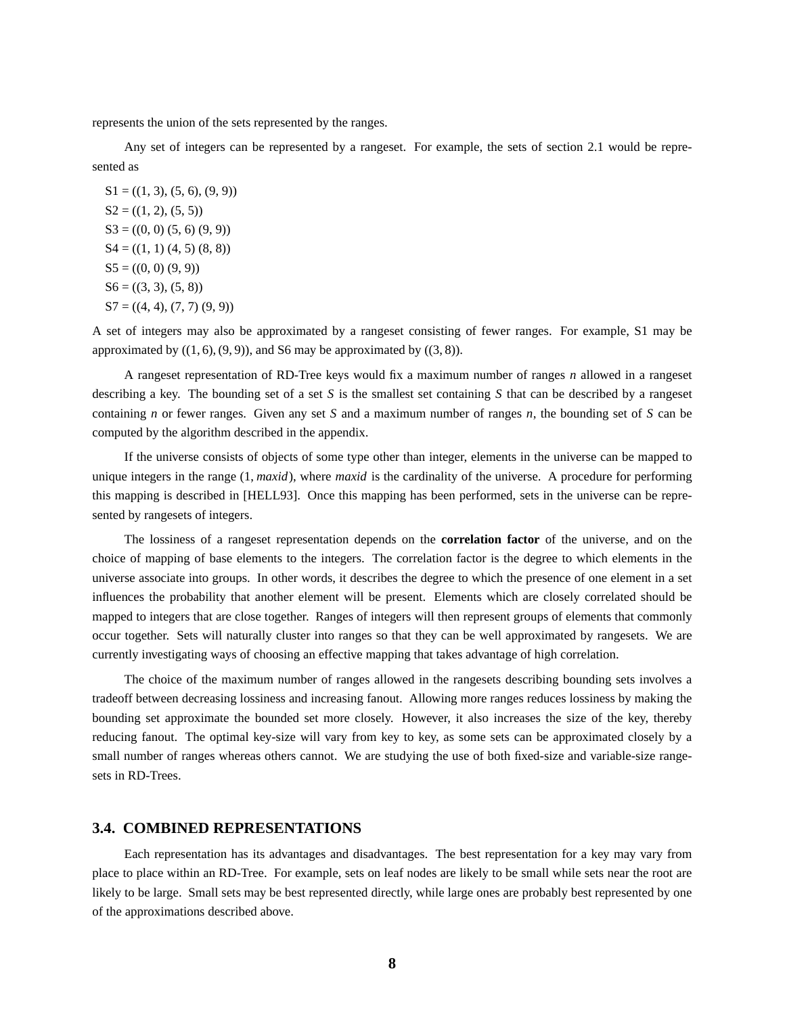represents the union of the sets represented by the ranges.

Any set of integers can be represented by a rangeset. For example, the sets of section 2.1 would be represented as

 $S1 = ((1, 3), (5, 6), (9, 9))$  $S2 = ((1, 2), (5, 5))$  $S3 = ((0, 0) (5, 6) (9, 9))$  $S4 = ((1, 1) (4, 5) (8, 8))$  $S5 = ((0, 0) (9, 9))$  $S6 = ((3, 3), (5, 8))$  $S7 = ((4, 4), (7, 7), (9, 9))$ 

A set of integers may also be approximated by a rangeset consisting of fewer ranges. For example, S1 may be approximated by  $((1, 6), (9, 9))$ , and S6 may be approximated by  $((3, 8))$ .

A rangeset representation of RD-Tree keys would fix a maximum number of ranges *n* allowed in a rangeset describing a key. The bounding set of a set *S* is the smallest set containing *S* that can be described by a rangeset containing *n* or fewer ranges. Given any set *S* and a maximum number of ranges *n*, the bounding set of *S* can be computed by the algorithm described in the appendix.

If the universe consists of objects of some type other than integer, elements in the universe can be mapped to unique integers in the range (1, *maxid*), where *maxid* is the cardinality of the universe. A procedure for performing this mapping is described in [HELL93]. Once this mapping has been performed, sets in the universe can be represented by rangesets of integers.

The lossiness of a rangeset representation depends on the **correlation factor** of the universe, and on the choice of mapping of base elements to the integers. The correlation factor is the degree to which elements in the universe associate into groups. In other words, it describes the degree to which the presence of one element in a set influences the probability that another element will be present. Elements which are closely correlated should be mapped to integers that are close together. Ranges of integers will then represent groups of elements that commonly occur together. Sets will naturally cluster into ranges so that they can be well approximated by rangesets. We are currently investigating ways of choosing an effective mapping that takes advantage of high correlation.

The choice of the maximum number of ranges allowed in the rangesets describing bounding sets involves a tradeoff between decreasing lossiness and increasing fanout. Allowing more ranges reduces lossiness by making the bounding set approximate the bounded set more closely. However, it also increases the size of the key, thereby reducing fanout. The optimal key-size will vary from key to key, as some sets can be approximated closely by a small number of ranges whereas others cannot. We are studying the use of both fixed-size and variable-size rangesets in RD-Trees.

### **3.4. COMBINED REPRESENTATIONS**

Each representation has its advantages and disadvantages. The best representation for a key may vary from place to place within an RD-Tree. For example, sets on leaf nodes are likely to be small while sets near the root are likely to be large. Small sets may be best represented directly, while large ones are probably best represented by one of the approximations described above.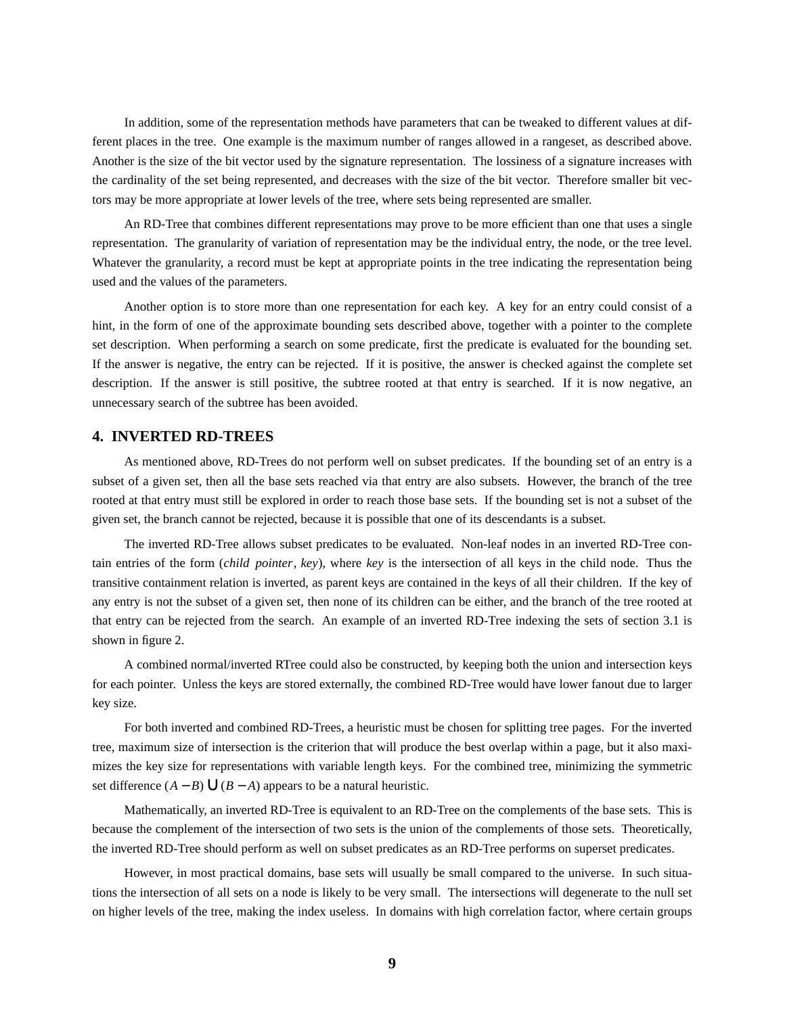In addition, some of the representation methods have parameters that can be tweaked to different values at different places in the tree. One example is the maximum number of ranges allowed in a rangeset, as described above. Another is the size of the bit vector used by the signature representation. The lossiness of a signature increases with the cardinality of the set being represented, and decreases with the size of the bit vector. Therefore smaller bit vectors may be more appropriate at lower levels of the tree, where sets being represented are smaller.

An RD-Tree that combines different representations may prove to be more efficient than one that uses a single representation. The granularity of variation of representation may be the individual entry, the node, or the tree level. Whatever the granularity, a record must be kept at appropriate points in the tree indicating the representation being used and the values of the parameters.

Another option is to store more than one representation for each key. A key for an entry could consist of a hint, in the form of one of the approximate bounding sets described above, together with a pointer to the complete set description. When performing a search on some predicate, first the predicate is evaluated for the bounding set. If the answer is negative, the entry can be rejected. If it is positive, the answer is checked against the complete set description. If the answer is still positive, the subtree rooted at that entry is searched. If it is now negative, an unnecessary search of the subtree has been avoided.

### **4. INVERTED RD-TREES**

As mentioned above, RD-Trees do not perform well on subset predicates. If the bounding set of an entry is a subset of a given set, then all the base sets reached via that entry are also subsets. However, the branch of the tree rooted at that entry must still be explored in order to reach those base sets. If the bounding set is not a subset of the given set, the branch cannot be rejected, because it is possible that one of its descendants is a subset.

The inverted RD-Tree allows subset predicates to be evaluated. Non-leaf nodes in an inverted RD-Tree contain entries of the form (*child pointer*, *key*), where *key* is the intersection of all keys in the child node. Thus the transitive containment relation is inverted, as parent keys are contained in the keys of all their children. If the key of any entry is not the subset of a given set, then none of its children can be either, and the branch of the tree rooted at that entry can be rejected from the search. An example of an inverted RD-Tree indexing the sets of section 3.1 is shown in figure 2.

A combined normal/inverted RTree could also be constructed, by keeping both the union and intersection keys for each pointer. Unless the keys are stored externally, the combined RD-Tree would have lower fanout due to larger key size.

For both inverted and combined RD-Trees, a heuristic must be chosen for splitting tree pages. For the inverted tree, maximum size of intersection is the criterion that will produce the best overlap within a page, but it also maximizes the key size for representations with variable length keys. For the combined tree, minimizing the symmetric set difference  $(A - B)$ ∪ $(B - A)$  appears to be a natural heuristic.

Mathematically, an inverted RD-Tree is equivalent to an RD-Tree on the complements of the base sets. This is because the complement of the intersection of two sets is the union of the complements of those sets. Theoretically, the inverted RD-Tree should perform as well on subset predicates as an RD-Tree performs on superset predicates.

However, in most practical domains, base sets will usually be small compared to the universe. In such situations the intersection of all sets on a node is likely to be very small. The intersections will degenerate to the null set on higher levels of the tree, making the index useless. In domains with high correlation factor, where certain groups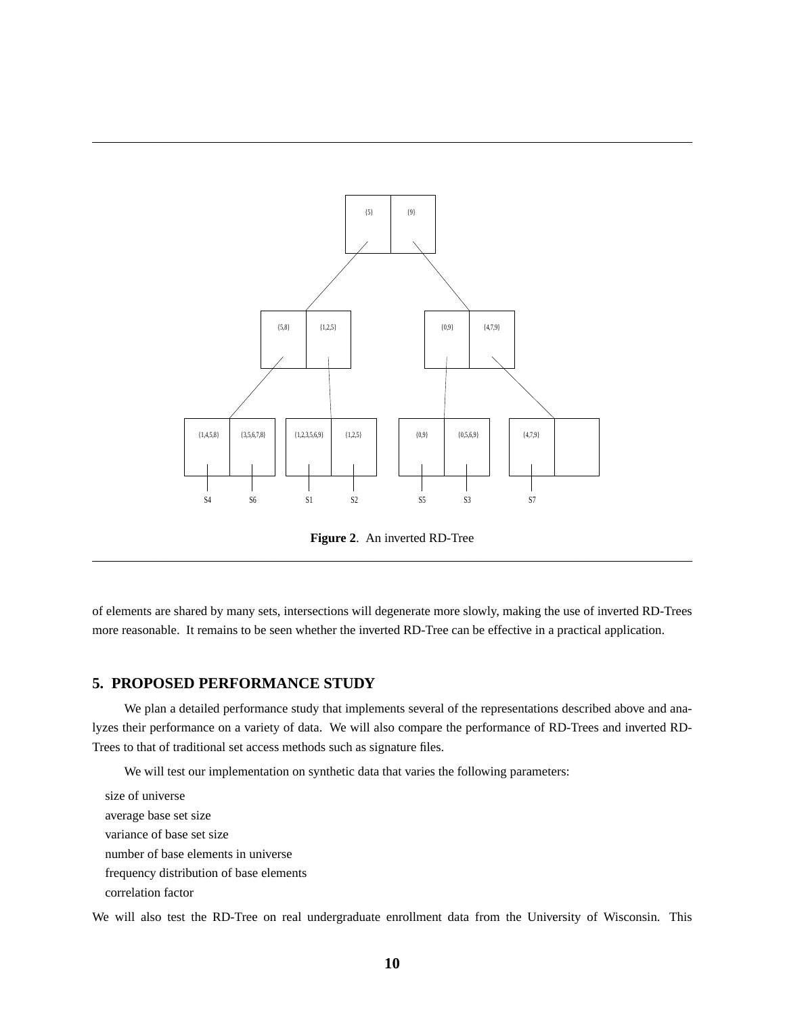

Figure 2. An inverted RD-Tree

of elements are shared by many sets, intersections will degenerate more slowly, making the use of inverted RD-Trees more reasonable. It remains to be seen whether the inverted RD-Tree can be effective in a practical application.

# **5. PROPOSED PERFORMANCE STUDY**

We plan a detailed performance study that implements several of the representations described above and analyzes their performance on a variety of data. We will also compare the performance of RD-Trees and inverted RD-Trees to that of traditional set access methods such as signature files.

We will test our implementation on synthetic data that varies the following parameters:

size of universe average base set size variance of base set size number of base elements in universe frequency distribution of base elements correlation factor

We will also test the RD-Tree on real undergraduate enrollment data from the University of Wisconsin. This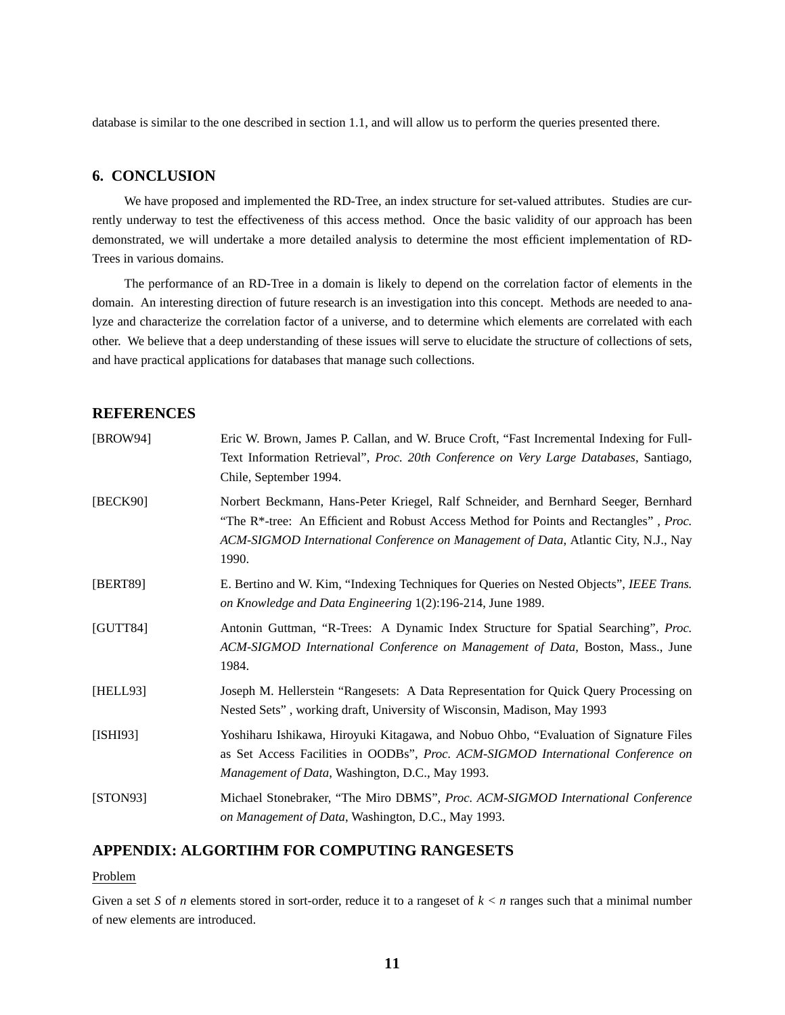database is similar to the one described in section 1.1, and will allow us to perform the queries presented there.

# **6. CONCLUSION**

We have proposed and implemented the RD-Tree, an index structure for set-valued attributes. Studies are currently underway to test the effectiveness of this access method. Once the basic validity of our approach has been demonstrated, we will undertake a more detailed analysis to determine the most efficient implementation of RD-Trees in various domains.

The performance of an RD-Tree in a domain is likely to depend on the correlation factor of elements in the domain. An interesting direction of future research is an investigation into this concept. Methods are needed to analyze and characterize the correlation factor of a universe, and to determine which elements are correlated with each other. We believe that a deep understanding of these issues will serve to elucidate the structure of collections of sets, and have practical applications for databases that manage such collections.

# **REFERENCES**

| [BROW94] | Eric W. Brown, James P. Callan, and W. Bruce Croft, "Fast Incremental Indexing for Full-<br>Text Information Retrieval", Proc. 20th Conference on Very Large Databases, Santiago,<br>Chile, September 1994.                                                                                      |
|----------|--------------------------------------------------------------------------------------------------------------------------------------------------------------------------------------------------------------------------------------------------------------------------------------------------|
| [BECK90] | Norbert Beckmann, Hans-Peter Kriegel, Ralf Schneider, and Bernhard Seeger, Bernhard<br>"The R <sup>*</sup> -tree: An Efficient and Robust Access Method for Points and Rectangles", <i>Proc.</i><br>ACM-SIGMOD International Conference on Management of Data, Atlantic City, N.J., Nay<br>1990. |
| [BERT89] | E. Bertino and W. Kim, "Indexing Techniques for Queries on Nested Objects", IEEE Trans.<br>on Knowledge and Data Engineering 1(2):196-214, June 1989.                                                                                                                                            |
| [GUTT84] | Antonin Guttman, "R-Trees: A Dynamic Index Structure for Spatial Searching", Proc.<br>ACM-SIGMOD International Conference on Management of Data, Boston, Mass., June<br>1984.                                                                                                                    |
| [HELL93] | Joseph M. Hellerstein "Rangesets: A Data Representation for Quick Query Processing on<br>Nested Sets", working draft, University of Wisconsin, Madison, May 1993                                                                                                                                 |
| [ISHI93] | Yoshiharu Ishikawa, Hiroyuki Kitagawa, and Nobuo Ohbo, "Evaluation of Signature Files<br>as Set Access Facilities in OODBs", Proc. ACM-SIGMOD International Conference on<br>Management of Data, Washington, D.C., May 1993.                                                                     |
| [STON93] | Michael Stonebraker, "The Miro DBMS", Proc. ACM-SIGMOD International Conference<br>on Management of Data, Washington, D.C., May 1993.                                                                                                                                                            |

### **APPENDIX: ALGORTIHM FOR COMPUTING RANGESETS**

Problem

Given a set *S* of *n* elements stored in sort-order, reduce it to a rangeset of  $k < n$  ranges such that a minimal number of new elements are introduced.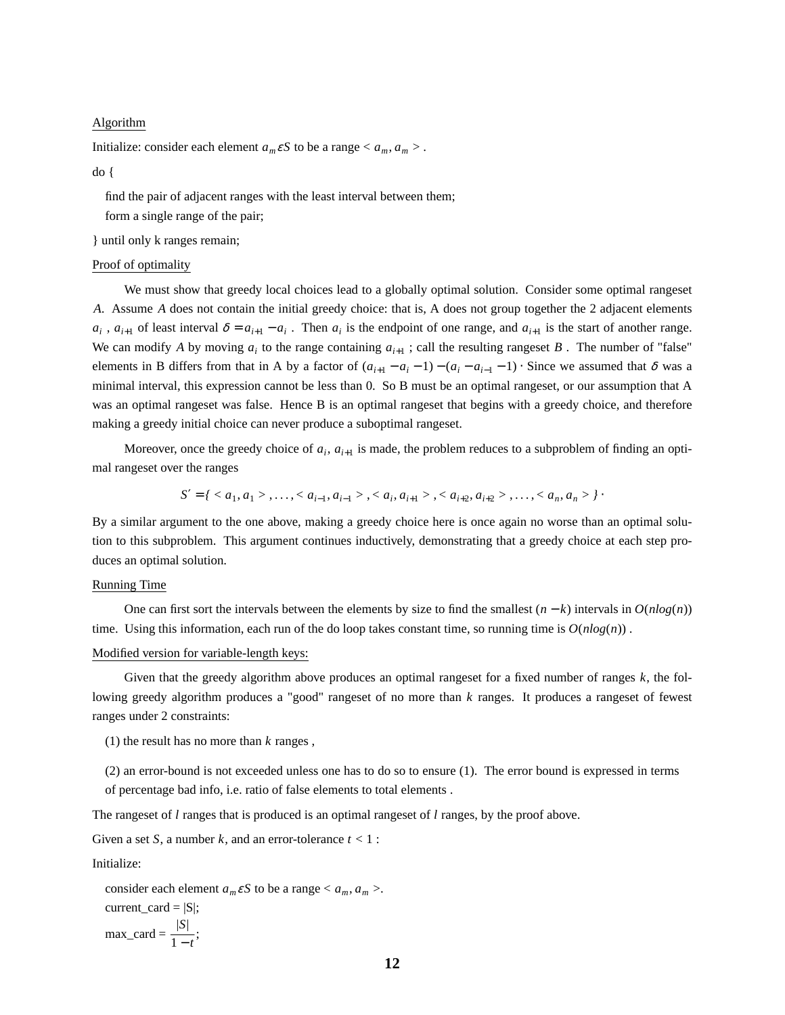#### Algorithm

Initialize: consider each element  $a_m \varepsilon S$  to be a range  $\langle a_m, a_m \rangle$ .

do {

find the pair of adjacent ranges with the least interval between them;

form a single range of the pair;

} until only k ranges remain;

#### Proof of optimality

We must show that greedy local choices lead to a globally optimal solution. Consider some optimal rangeset *A*. Assume *A* does not contain the initial greedy choice: that is, A does not group together the 2 adjacent elements  $a_i$ ,  $a_{i+1}$  of least interval  $\delta = a_{i+1} - a_i$ . Then  $a_i$  is the endpoint of one range, and  $a_{i+1}$  is the start of another range. We can modify *A* by moving  $a_i$  to the range containing  $a_{i+1}$ ; call the resulting rangeset *B*. The number of "false" elements in B differs from that in A by a factor of  $(a_{i+1} - a_i - 1) - (a_i - a_{i-1} - 1) \cdot$  Since we assumed that  $\delta$  was a minimal interval, this expression cannot be less than 0. So B must be an optimal rangeset, or our assumption that A was an optimal rangeset was false. Hence B is an optimal rangeset that begins with a greedy choice, and therefore making a greedy initial choice can never produce a suboptimal rangeset.

Moreover, once the greedy choice of  $a_i$ ,  $a_{i+1}$  is made, the problem reduces to a subproblem of finding an optimal rangeset over the ranges

$$
S' = \{ \langle a_1, a_1 \rangle, \ldots, \langle a_{i-1}, a_{i-1} \rangle, \langle a_i, a_{i+1} \rangle, \langle a_{i+2}, a_{i+2} \rangle, \ldots, \langle a_n, a_n \rangle \}.
$$

By a similar argument to the one above, making a greedy choice here is once again no worse than an optimal solution to this subproblem. This argument continues inductively, demonstrating that a greedy choice at each step produces an optimal solution.

#### Running Time

One can first sort the intervals between the elements by size to find the smallest  $(n - k)$  intervals in  $O(n \log(n))$ time. Using this information, each run of the do loop takes constant time, so running time is  $O(n \log(n))$ .

### Modified version for variable-length keys:

Given that the greedy algorithm above produces an optimal rangeset for a fixed number of ranges *k*, the following greedy algorithm produces a "good" rangeset of no more than *k* ranges. It produces a rangeset of fewest ranges under 2 constraints:

(1) the result has no more than *k* ranges ,

(2) an error-bound is not exceeded unless one has to do so to ensure (1). The error bound is expressed in terms of percentage bad info, i.e. ratio of false elements to total elements .

The rangeset of *l* ranges that is produced is an optimal rangeset of *l* ranges, by the proof above.

Given a set *S*, a number *k*, and an error-tolerance  $t < 1$ :

Initialize:

consider each element  $a_m \varepsilon S$  to be a range  $\langle a_m, a_m \rangle$ .  $current\_card = |S|$ ;  $max\_card = \frac{|S|}{1-t};$